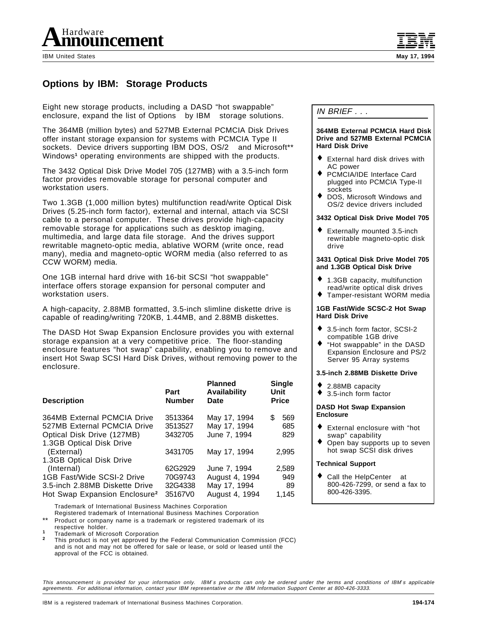

IBM United States **May 17, 1994**

# **Options by IBM: Storage Products**

Eight new storage products, including a DASD "hot swappable" enclosure, expand the list of Options<sup>M</sup> by IBM<sup>®</sup> storage solutions.

The 364MB (million bytes) and 527MB External PCMCIA Disk Drives offer instant storage expansion for systems with PCMCIA Type II sockets. Device drivers supporting IBM DOS, OS/2<sup>®</sup> and Microsoft<sup>\*\*</sup> Windows**1** operating environments are shipped with the products.

The 3432 Optical Disk Drive Model 705 (127MB) with a 3.5-inch form factor provides removable storage for personal computer and workstation users.

Two 1.3GB (1,000 million bytes) multifunction read/write Optical Disk Drives (5.25-inch form factor), external and internal, attach via SCSI cable to a personal computer. These drives provide high-capacity removable storage for applications such as desktop imaging, multimedia, and large data file storage. And the drives support rewritable magneto-optic media, ablative WORM (write once, read many), media and magneto-optic WORM media (also referred to as CCW WORM) media.

One 1GB internal hard drive with 16-bit SCSI "hot swappable" interface offers storage expansion for personal computer and workstation users.

A high-capacity, 2.88MB formatted, 3.5-inch slimline diskette drive is capable of reading/writing 720KB, 1.44MB, and 2.88MB diskettes.

The DASD Hot Swap Expansion Enclosure provides you with external storage expansion at a very competitive price. The floor-standing enclosure features "hot swap" capability, enabling you to remove and insert Hot Swap SCSI Hard Disk Drives, without removing power to the enclosure.

| <b>Description</b>                                                                                                   | Part<br><b>Number</b>         | <b>Planned</b><br><b>Availability</b><br>Date    | <b>Single</b><br>Unit<br><b>Price</b> |
|----------------------------------------------------------------------------------------------------------------------|-------------------------------|--------------------------------------------------|---------------------------------------|
| 364MB External PCMCIA Drive<br>527MB External PCMCIA Drive<br>Optical Disk Drive (127MB)<br>1.3GB Optical Disk Drive | 3513364<br>3513527<br>3432705 | May 17, 1994<br>May 17, 1994<br>June 7, 1994     | 569<br>\$<br>685<br>829               |
| (External)<br>1.3GB Optical Disk Drive                                                                               | 3431705                       | May 17, 1994                                     | 2,995                                 |
| (Internal)                                                                                                           | 62G2929                       | June 7, 1994                                     | 2,589                                 |
| 1GB Fast/Wide SCSI-2 Drive<br>3.5-inch 2.88MB Diskette Drive<br>Hot Swap Expansion Enclosure <sup>2</sup>            | 70G9743<br>32G4338<br>35167V0 | August 4, 1994<br>May 17, 1994<br>August 4, 1994 | 949<br>89<br>1,145                    |

™ Trademark of International Business Machines Corporation

Registered trademark of International Business Machines Corporation

Product or company name is a trademark or registered trademark of its respective holder.

Trademark of Microsoft Corporation<br>This product is not yet approved by the Federal Communication Commission (FCC) and is not and may not be offered for sale or lease, or sold or leased until the approval of the FCC is obtained.

IN BRIEF . . .

#### **364MB External PCMCIA Hard Disk Drive and 527MB External PCMCIA Hard Disk Drive**

- ♦ External hard disk drives with AC power
- ♦ PCMCIA/IDE Interface Card plugged into PCMCIA Type-II sockets
- ♦ DOS, Microsoft Windows and OS/2 device drivers included

#### **3432 Optical Disk Drive Model 705**

Externally mounted 3.5-inch rewritable magneto-optic disk drive

#### **3431 Optical Disk Drive Model 705 and 1.3GB Optical Disk Drive**

- ♦ 1.3GB capacity, multifunction read/write optical disk drives
- ♦ Tamper-resistant WORM media

#### **1GB Fast/Wide SCSC-2 Hot Swap Hard Disk Drive**

- 3.5-inch form factor, SCSI-2 compatible 1GB drive
- "Hot swappable" in the DASD Expansion Enclosure and PS/2 Server 95 Array systems

#### **3.5-inch 2.88MB Diskette Drive**

- ♦ 2.88MB capacity
- ♦ 3.5-inch form factor

#### **DASD Hot Swap Expansion Enclosure**

- ♦ External enclosure with "hot swap" capability
- ♦ Open bay supports up to seven hot swap SCSI disk drives

#### **Technical Support**

• Call the HelpCenter<sup>®</sup> at 800-426-7299, or send a fax to 800-426-3395.

This announcement is provided for your information only. IBM′s products can only be ordered under the terms and conditions of IBM′s applicable agreements. For additional information, contact your IBM representative or the IBM Information Support Center at 800-426-3333.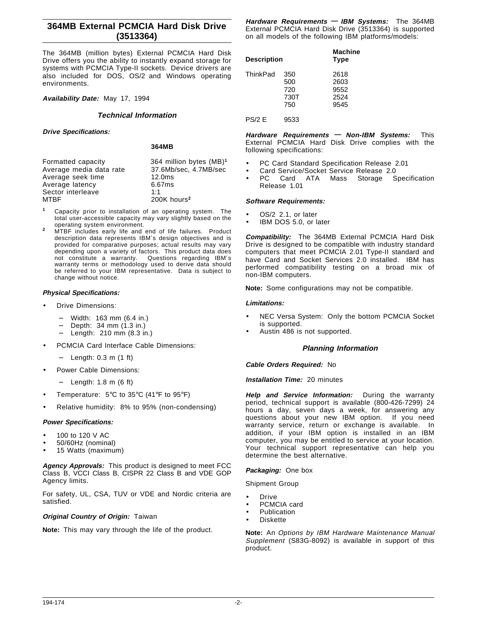## **364MB External PCMCIA Hard Disk Drive (3513364)**

The 364MB (million bytes) External PCMCIA Hard Disk Drive offers you the ability to instantly expand storage for systems with PCMCIA Type-II sockets. Device drivers are also included for DOS, OS/2 and Windows operating environments.

**Availability Date:** May 17, 1994

#### **Technical Information**

**Drive Specifications:**

**364MB**

| Formatted capacity      | 364 million bytes (MB) <sup>1</sup> |
|-------------------------|-------------------------------------|
| Average media data rate | 37.6Mb/sec, 4.7MB/sec               |
| Average seek time       | 12.0 <sub>ms</sub>                  |
| Average latency         | 6.67ms                              |
| Sector interleave       | 1:1                                 |
| MTBF                    | 200K hours <sup>2</sup>             |
|                         |                                     |

- **<sup>1</sup>** Capacity prior to installation of an operating system. The total user-accessible capacity may vary slightly based on the operating system environment.
- <sup>2</sup> MTBF includes early life and end of life failures. Product description data represents IBM′s design objectives and is provided for comparative purposes; actual results may vary depending upon a variety of factors. This product data does<br>not constitute a warranty. Questions regarding IBM's Questions regarding IBM's warranty terms or methodology used to derive data should be referred to your IBM representative. Data is subject to change without notice.

# **Physical Specifications:**

- Drive Dimensions:
	- − Width: 163 mm (6.4 in.)
	- − Depth: 34 mm (1.3 in.)
	- − Length: 210 mm (8.3 in.)
- PCMCIA Card Interface Cable Dimensions:
	- − Length: 0.3 m (1 ft)
- Power Cable Dimensions:
	- − Length: 1.8 m (6 ft)
- Temperature: 5°C to 35°C (41°F to 95°F)
- Relative humidity: 8% to 95% (non-condensing)

#### **Power Specifications:**

- 100 to 120 V AC
- 50/60Hz (nominal)
- 15 Watts (maximum)

**Agency Approvals:** This product is designed to meet FCC Class B, VCCI Class B, CISPR 22 Class B and VDE GOP Agency limits.

For safety, UL, CSA, TUV or VDE and Nordic criteria are satisfied.

### **Original Country of Origin:** Taiwan

**Note:** This may vary through the life of the product.

**Hardware Requirements — IBM Systems:** The 364MB External PCMCIA Hard Disk Drive (3513364) is supported on all models of the following IBM platforms/models:

| <b>Description</b> |                           | <b>Machine</b><br><b>Type</b>        |
|--------------------|---------------------------|--------------------------------------|
| ThinkPad® 350      | 500<br>720<br>730T<br>750 | 2618<br>2603<br>9552<br>2524<br>9545 |

#### PS/2 E 9533

**Hardware Requirements — Non-IBM Systems:** This External PCMCIA Hard Disk Drive complies with the following specifications:

- PC Card Standard Specification Release 2.01
- Card Service/Socket Service Release 2.0
- PC Card ATA Mass Storage Specification Release 1.01

#### **Software Requirements:**

- OS/2 2.1, or later
- IBM DOS 5.0, or later

**Compatibility:** The 364MB External PCMCIA Hard Disk Drive is designed to be compatible with industry standard computers that meet PCMCIA 2.01 Type-II standard and have Card and Socket Services 2.0 installed. IBM has performed compatibility testing on a broad mix of non-IBM computers.

**Note:** Some configurations may not be compatible.

#### **Limitations:**

- NEC Versa System: Only the bottom PCMCIA Socket is supported.
- Austin 486 is not supported.

## **Planning Information**

#### **Cable Orders Required:** No

#### **Installation Time:** 20 minutes

**Help and Service Information:** During the warranty period, technical support is available (800-426-7299) 24 hours a day, seven days a week, for answering any questions about your new IBM option. If you need warranty service, return or exchange is available. In addition, if your IBM option is installed in an IBM computer, you may be entitled to service at your location. Your technical support representative can help you determine the best alternative.

# **Packaging:** One box

Shipment Group

- **Drive**
- PCMCIA card
- **Publication**
- **Diskette**

**Note:** An Options by IBM Hardware Maintenance Manual Supplement (S83G-8092) is available in support of this product.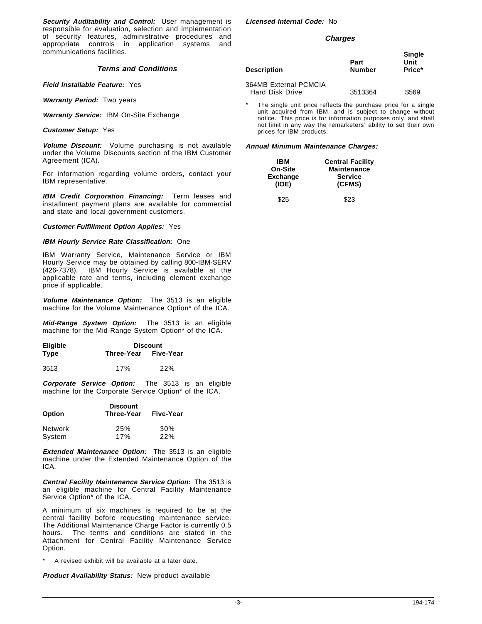**Security Auditability and Control:** User management is responsible for evaluation, selection and implementation of security features, administrative procedures and appropriate controls in application systems and communications facilities.

### **Terms and Conditions**

**Field Installable Feature:** Yes

**Warranty Period:** Two years

**Warranty Service:** IBM On-Site Exchange

**Customer Setup:** Yes

**Volume Discount:** Volume purchasing is not available under the Volume Discounts section of the IBM Customer Agreement (ICA).

For information regarding volume orders, contact your IBM representative.

**IBM Credit Corporation Financing:** Term leases and installment payment plans are available for commercial and state and local government customers.

#### **Customer Fulfillment Option Applies:** Yes

#### **IBM Hourly Service Rate Classification:** One

IBM Warranty Service, Maintenance Service or IBM Hourly Service may be obtained by calling 800-IBM-SERV (426-7378). IBM Hourly Service is available at the applicable rate and terms, including element exchange price if applicable.

**Volume Maintenance Option:** The 3513 is an eligible machine for the Volume Maintenance Option\* of the ICA.

**Mid-Range System Option:** The 3513 is an eligible machine for the Mid-Range System Option\* of the ICA.

| <b>Eligible</b> |            | <b>Discount</b> |  |
|-----------------|------------|-----------------|--|
| Type            | Three-Year | Five-Year       |  |

3513 17% 22%

**Corporate Service Option:** The 3513 is an eligible machine for the Corporate Service Option\* of the ICA.

| <b>Option</b> | <b>Discount</b><br>Three-Year | Five-Year  |
|---------------|-------------------------------|------------|
| Network       | 25%                           | 30%        |
| System        | 17%                           | <b>22%</b> |

**Extended Maintenance Option:** The 3513 is an eligible machine under the Extended Maintenance Option of the ICA.

**Central Facility Maintenance Service Option:** The 3513 is an eligible machine for Central Facility Maintenance Service Option\* of the ICA.

A minimum of six machines is required to be at the central facility before requesting maintenance service. The Additional Maintenance Charge Factor is currently 0.5 hours. The terms and conditions are stated in the Attachment for Central Facility Maintenance Service Option.

A revised exhibit will be available at a later date.

**Product Availability Status:** New product available

**Licensed Internal Code:** No

#### **Charges**

| <b>Description</b>                              | Part<br><b>Number</b> | Single<br>Unit<br>Price* |
|-------------------------------------------------|-----------------------|--------------------------|
| 364MB External PCMCIA<br><b>Hard Disk Drive</b> | 3513364               | \$569                    |

The single unit price reflects the purchase price for a single unit acquired from IBM, and is subject to change without notice. This price is for information purposes only, and shall not limit in any way the remarketers′ ability to set their own prices for IBM products.

| IBM                      | <b>Central Facility</b>  |  |
|--------------------------|--------------------------|--|
| On-Site                  | <b>Maintenance</b>       |  |
| <b>Exchange</b><br>(IOE) | <b>Service</b><br>(CFMS) |  |
| \$25                     | \$23                     |  |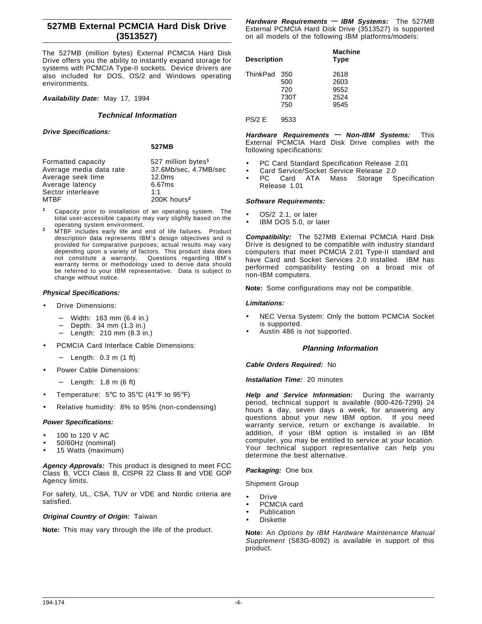## **527MB External PCMCIA Hard Disk Drive (3513527)**

The 527MB (million bytes) External PCMCIA Hard Disk Drive offers you the ability to instantly expand storage for systems with PCMCIA Type-II sockets. Device drivers are also included for DOS, OS/2 and Windows operating environments.

**Availability Date:** May 17, 1994

### **Technical Information**

**Drive Specifications:**

**527MB**

| Formatted capacity      | 527 million bytes <sup>1</sup> |
|-------------------------|--------------------------------|
| Average media data rate | 37.6Mb/sec, 4.7MB/sec          |
| Average seek time       | 12.0 <sub>ms</sub>             |
| Average latency         | 6.67ms                         |
| Sector interleave       | 1:1                            |
| MTBF                    | 200K hours <sup>2</sup>        |
|                         |                                |

- **<sup>1</sup>** Capacity prior to installation of an operating system. The total user-accessible capacity may vary slightly based on the operating system environment.
- <sup>2</sup> MTBF includes early life and end of life failures. Product description data represents IBM′s design objectives and is provided for comparative purposes; actual results may vary depending upon a variety of factors. This product data does<br>not constitute a warranty. Questions regarding IBM's Questions regarding IBM's warranty terms or methodology used to derive data should be referred to your IBM representative. Data is subject to change without notice.

# **Physical Specifications:**

- Drive Dimensions:
	- − Width: 163 mm (6.4 in.)
	- − Depth: 34 mm (1.3 in.)
	- − Length: 210 mm (8.3 in.)
- PCMCIA Card Interface Cable Dimensions:
	- − Length: 0.3 m (1 ft)
- Power Cable Dimensions:
	- − Length: 1.8 m (6 ft)
- Temperature: 5°C to 35°C (41°F to 95°F)
- Relative humidity: 8% to 95% (non-condensing)

#### **Power Specifications:**

- 100 to 120 V AC
- 50/60Hz (nominal)
- 15 Watts (maximum)

**Agency Approvals:** This product is designed to meet FCC Class B, VCCI Class B, CISPR 22 Class B and VDE GOP Agency limits.

For safety, UL, CSA, TUV or VDE and Nordic criteria are satisfied.

### **Original Country of Origin:** Taiwan

**Note:** This may vary through the life of the product.

**Hardware Requirements — IBM Systems:** The 527MB External PCMCIA Hard Disk Drive (3513527) is supported on all models of the following IBM platforms/models:

| <b>Description</b> |                                  | <b>Machine</b><br><b>Type</b>        |
|--------------------|----------------------------------|--------------------------------------|
| ThinkPad           | 350<br>500<br>720<br>730T<br>750 | 2618<br>2603<br>9552<br>2524<br>9545 |

#### PS/2 E 9533

**Hardware Requirements — Non-IBM Systems:** This External PCMCIA Hard Disk Drive complies with the following specifications:

- PC Card Standard Specification Release 2.01
- Card Service/Socket Service Release 2.0
- PC Card ATA Mass Storage Specification Release 1.01

#### **Software Requirements:**

- OS/2 2.1, or later
- IBM DOS 5.0, or later

**Compatibility:** The 527MB External PCMCIA Hard Disk Drive is designed to be compatible with industry standard computers that meet PCMCIA 2.01 Type-II standard and have Card and Socket Services 2.0 installed. IBM has performed compatibility testing on a broad mix of non-IBM computers.

**Note:** Some configurations may not be compatible.

#### **Limitations:**

- NEC Versa System: Only the bottom PCMCIA Socket is supported.
- Austin 486 is not supported.

## **Planning Information**

#### **Cable Orders Required:** No

### **Installation Time:** 20 minutes

**Help and Service Information:** During the warranty period, technical support is available (800-426-7299) 24 hours a day, seven days a week, for answering any questions about your new IBM option. If you need warranty service, return or exchange is available. In addition, if your IBM option is installed in an IBM computer, you may be entitled to service at your location. Your technical support representative can help you determine the best alternative.

# **Packaging:** One box

Shipment Group

- **Drive**
- PCMCIA card
- **Publication**
- **Diskette**

**Note:** An Options by IBM Hardware Maintenance Manual Supplement (S83G-8092) is available in support of this product.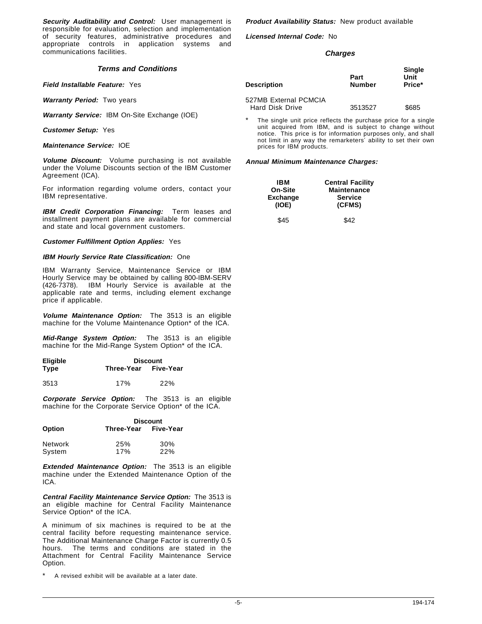**Security Auditability and Control:** User management is responsible for evaluation, selection and implementation of security features, administrative procedures and appropriate controls in application systems and communications facilities.

#### **Terms and Conditions**

**Field Installable Feature:** Yes

**Warranty Period:** Two years

**Warranty Service:** IBM On-Site Exchange (IOE)

**Customer Setup:** Yes

**Maintenance Service:** IOE

**Volume Discount:** Volume purchasing is not available under the Volume Discounts section of the IBM Customer Agreement (ICA).

For information regarding volume orders, contact your IBM representative.

**IBM Credit Corporation Financing:** Term leases and installment payment plans are available for commercial and state and local government customers.

**Customer Fulfillment Option Applies:** Yes

#### **IBM Hourly Service Rate Classification:** One

IBM Warranty Service, Maintenance Service or IBM Hourly Service may be obtained by calling 800-IBM-SERV (426-7378). IBM Hourly Service is available at the applicable rate and terms, including element exchange price if applicable.

**Volume Maintenance Option:** The 3513 is an eligible machine for the Volume Maintenance Option\* of the ICA.

**Mid-Range System Option:** The 3513 is an eligible machine for the Mid-Range System Option\* of the ICA.

| <b>Eligible</b> |                      | <b>Discount</b> |  |  |
|-----------------|----------------------|-----------------|--|--|
| Type            | Three-Year Five-Year |                 |  |  |
| 3513            | 17%                  | 22%             |  |  |

**Corporate Service Option:** The 3513 is an eligible machine for the Corporate Service Option\* of the ICA.

|                | <b>Discount</b>      |            |
|----------------|----------------------|------------|
| <b>Option</b>  | Three-Year Five-Year |            |
| <b>Network</b> | 25%                  | 30%        |
| System         | 17%                  | <b>22%</b> |

**Extended Maintenance Option:** The 3513 is an eligible machine under the Extended Maintenance Option of the ICA.

**Central Facility Maintenance Service Option:** The 3513 is an eligible machine for Central Facility Maintenance Service Option\* of the ICA.

A minimum of six machines is required to be at the central facility before requesting maintenance service. The Additional Maintenance Charge Factor is currently 0.5 hours. The terms and conditions are stated in the Attachment for Central Facility Maintenance Service Option.

A revised exhibit will be available at a later date.

**Product Availability Status:** New product available

**Licensed Internal Code:** No

#### **Charges**

| Description            | Part<br><b>Number</b> | Single<br>Unit<br>Price* |
|------------------------|-----------------------|--------------------------|
| 527MB External PCMCIA  |                       |                          |
| <b>Hard Disk Drive</b> | 3513527               | \$685                    |

The single unit price reflects the purchase price for a single unit acquired from IBM, and is subject to change without notice. This price is for information purposes only, and shall not limit in any way the remarketers′ ability to set their own prices for IBM products.

| IBM                      | <b>Central Facility</b>  |  |
|--------------------------|--------------------------|--|
| On-Site                  | <b>Maintenance</b>       |  |
| <b>Exchange</b><br>(IOE) | <b>Service</b><br>(CFMS) |  |
| \$45                     | \$42                     |  |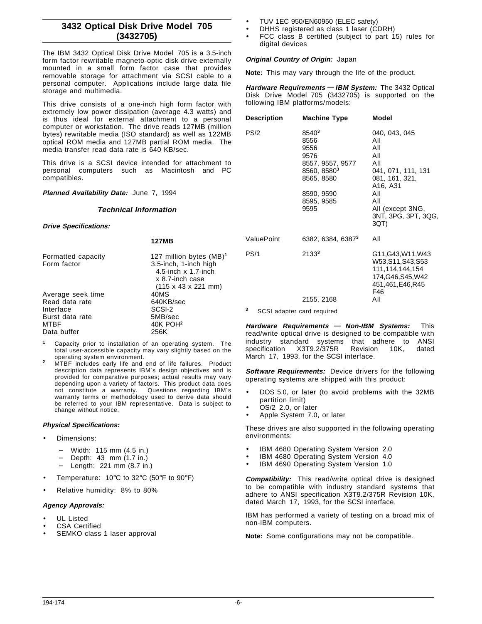# **3432 Optical Disk Drive Model 705 (3432705)**

The IBM 3432 Optical Disk Drive Model 705 is a 3.5-inch form factor rewritable magneto-optic disk drive externally mounted in a small form factor case that provides removable storage for attachment via SCSI cable to a personal computer. Applications include large data file storage and multimedia.

This drive consists of a one-inch high form factor with extremely low power dissipation (average 4.3 watts) and is thus ideal for external attachment to a personal computer or workstation. The drive reads 127MB (million bytes) rewritable media (ISO standard) as well as 122MB optical ROM media and 127MB partial ROM media. The media transfer read data rate is 640 KB/sec.

This drive is a SCSI device intended for attachment to personal computers such as Macintosh and PC compatibles.

**Planned Availability Date:** June 7, 1994

## **Technical Information**

**Drive Specifications:**

| <b>127MB</b>                                   |
|------------------------------------------------|
| 127 million bytes (MB) <sup>1</sup>            |
| 3.5-inch, 1-inch high<br>4.5-inch $x$ 1.7-inch |
| x 8.7-inch case                                |
| $(115 \times 43 \times 221 \text{ mm})$        |
| 40MS                                           |
| 640KB/sec                                      |
| SCSI-2                                         |
| 5MB/sec                                        |
| 40K POH <sup>2</sup>                           |
| 256K                                           |
|                                                |

- **<sup>1</sup>** Capacity prior to installation of an operating system. The total user-accessible capacity may vary slightly based on the
- operating system environment. **<sup>2</sup>** MTBF includes early life and end of life failures. Product description data represents IBM′s design objectives and is provided for comparative purposes; actual results may vary depending upon a variety of factors. This product data does not constitute a warranty. Questions regarding IBM′s warranty terms or methodology used to derive data should be referred to your IBM representative. Data is subject to change without notice.

#### **Physical Specifications:**

- Dimensions:
	- − Width: 115 mm (4.5 in.)
	- − Depth: 43 mm (1.7 in.)
	- − Length: 221 mm (8.7 in.)
- Temperature:  $10^{\circ}$ C to 32 $^{\circ}$ C (50 $^{\circ}$ F to 90 $^{\circ}$ F)
- Relative humidity: 8% to 80%

#### **Agency Approvals:**

- UL Listed
- CSA Certified
- SEMKO class 1 laser approval
- TUV 1EC 950/EN60950 (ELEC safety)
- DHHS registered as class 1 laser (CDRH)
- FCC class B certified (subject to part 15) rules for digital devices

## **Original Country of Origin:** Japan

**Note:** This may vary through the life of the product.

**Hardware Requirements — IBM System:** The 3432 Optical Disk Drive Model 705 (3432705) is supported on the following IBM platforms/models:

| Description       | <b>Machine Type</b>                                                                                                                        | Model                                                                                                                                                                                   |
|-------------------|--------------------------------------------------------------------------------------------------------------------------------------------|-----------------------------------------------------------------------------------------------------------------------------------------------------------------------------------------|
| PS/2 <sub>®</sub> | 8540 <sup>3</sup><br>8556<br>9556<br>9576<br>8557, 9557, 9577<br>8560, 8580 <sup>3</sup><br>8565, 8580<br>8590, 9590<br>8595, 9585<br>9595 | 040, 043, 045<br>All<br>All<br>All<br>All<br>041, 071, 111, 131<br>081, 161, 321,<br>A <sub>16</sub> , A <sub>31</sub><br>All<br>All<br>All (except 3NG,<br>3NT, 3PG, 3PT, 3QG,<br>3QT) |
| ValuePoint™       | 6382, 6384, 63873                                                                                                                          | All                                                                                                                                                                                     |
| PS/1@             | 21333<br>2155, 2168                                                                                                                        | G11, G43, W11, W43<br>W53,S11,S43,S53<br>111.114,144,154<br>174, G46, S45, W42<br>451,461,E46,R45<br>F46<br>All                                                                         |

**<sup>3</sup>** SCSI adapter card required

**Hardware Requirements — Non-IBM Systems:** This read/write optical drive is designed to be compatible with industry standard systems that adhere to ANSI specification X3T9.2/375R Revision 10K, dated March 17, 1993, for the SCSI interface.

**Software Requirements:** Device drivers for the following operating systems are shipped with this product:

- DOS 5.0, or later (to avoid problems with the 32MB partition limit)
- OS/2 2.0, or later
- Apple System 7.0, or later

These drives are also supported in the following operating environments:

- IBM 4680 Operating System Version 2.0
- IBM 4680 Operating System Version 4.0
- IBM 4690 Operating System Version 1.0

**Compatibility:** This read/write optical drive is designed to be compatible with industry standard systems that adhere to ANSI specification X3T9.2/375R Revision 10K, dated March 17, 1993, for the SCSI interface.

IBM has performed a variety of testing on a broad mix of non-IBM computers.

**Note:** Some configurations may not be compatible.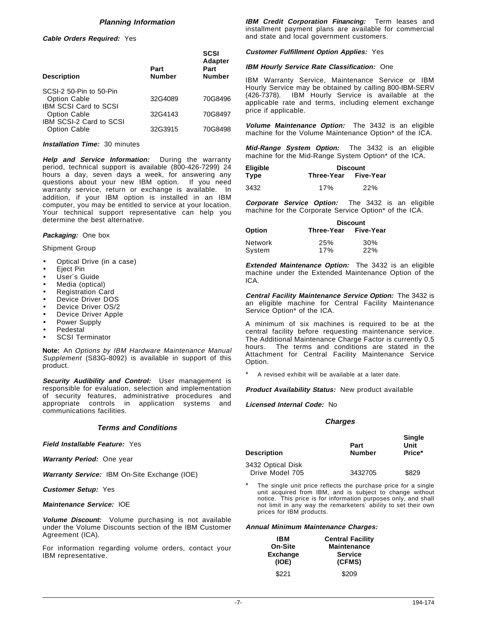## **Planning Information**

**Cable Orders Required:** Yes

| <b>Description</b>                             | Part<br><b>Number</b> | <b>SCSI</b><br><b>Adapter</b><br>Part<br><b>Number</b> |
|------------------------------------------------|-----------------------|--------------------------------------------------------|
| SCSI-2 50-Pin to 50-Pin                        |                       |                                                        |
| <b>Option Cable</b>                            | 32G4089               | 70G8496                                                |
| <b>IBM SCSI Card to SCSI</b>                   |                       |                                                        |
| <b>Option Cable</b><br>IBM SCSI-2 Card to SCSI | 32G4143               | 70G8497                                                |
| <b>Option Cable</b>                            | 32G3915               | 70G8498                                                |
|                                                |                       |                                                        |

#### **Installation Time:** 30 minutes

**Help and Service Information:** During the warranty period, technical support is available (800-426-7299) 24 hours a day, seven days a week, for answering any questions about your new IBM option. If you need warranty service, return or exchange is available. In addition, if your IBM option is installed in an IBM computer, you may be entitled to service at your location. Your technical support representative can help you determine the best alternative.

#### **Packaging:** One box

#### Shipment Group

- Optical Drive (in a case)
- Eject Pin
- User's Guide
- Media (optical)
- Registration Card
- Device Driver DOS
- Device Driver OS/2
- Device Driver Apple
- Power Supply
- **Pedestal**
- SCSI Terminator

**Note:** An Options by IBM Hardware Maintenance Manual Supplement (S83G-8092) is available in support of this product.

**Security Audibility and Control:** User management is responsible for evaluation, selection and implementation of security features, administrative procedures and appropriate controls in application systems and communications facilities.

#### **Terms and Conditions**

**Field Installable Feature:** Yes

**Warranty Period:** One year

**Warranty Service:** IBM On-Site Exchange (IOE)

**Customer Setup:** Yes

#### **Maintenance Service:** IOE

**Volume Discount:** Volume purchasing is not available under the Volume Discounts section of the IBM Customer Agreement (ICA).

For information regarding volume orders, contact your IBM representative.

**IBM Credit Corporation Financing:** Term leases and installment payment plans are available for commercial and state and local government customers.

**Customer Fulfillment Option Applies:** Yes

#### **IBM Hourly Service Rate Classification:** One

IBM Warranty Service, Maintenance Service or IBM Hourly Service may be obtained by calling 800-IBM-SERV (426-7378). IBM Hourly Service is available at the applicable rate and terms, including element exchange price if applicable.

**Volume Maintenance Option:** The 3432 is an eligible machine for the Volume Maintenance Option\* of the ICA.

**Mid-Range System Option:** The 3432 is an eligible machine for the Mid-Range System Option\* of the ICA.

| Eligible    | <b>Discount</b>      |     |
|-------------|----------------------|-----|
| <b>Type</b> | Three-Year Five-Year |     |
| 3432        | 17%                  | 22% |

**Corporate Service Option:** The 3432 is an eligible machine for the Corporate Service Option\* of the ICA.

|                          | <b>Discount</b>      |                   |
|--------------------------|----------------------|-------------------|
| <b>Option</b>            | Three-Year Five-Year |                   |
| <b>Network</b><br>System | 25%<br>17%           | 30%<br><b>22%</b> |

**Extended Maintenance Option:** The 3432 is an eligible machine under the Extended Maintenance Option of the ICA.

**Central Facility Maintenance Service Option:** The 3432 is an eligible machine for Central Facility Maintenance Service Option\* of the ICA.

A minimum of six machines is required to be at the central facility before requesting maintenance service. The Additional Maintenance Charge Factor is currently 0.5 hours. The terms and conditions are stated in the Attachment for Central Facility Maintenance Service Option.

A revised exhibit will be available at a later date.

**Product Availability Status:** New product available

**Licensed Internal Code:** No

#### **Charges**

| Description       | Part<br><b>Number</b> | <b>Single</b><br>Unit<br>Price* |
|-------------------|-----------------------|---------------------------------|
| 3432 Optical Disk |                       |                                 |
| Drive Model 705   | 3432705               | \$829                           |

\* The single unit price reflects the purchase price for a single unit acquired from IBM, and is subject to change without notice. This price is for information purposes only, and shall not limit in any way the remarketers′ ability to set their own prices for IBM products.

| IBM             | <b>Central Facility</b> |
|-----------------|-------------------------|
| On-Site         | <b>Maintenance</b>      |
| <b>Exchange</b> | <b>Service</b>          |
| (IOE)           | (CFMS)                  |
| \$221           | \$209                   |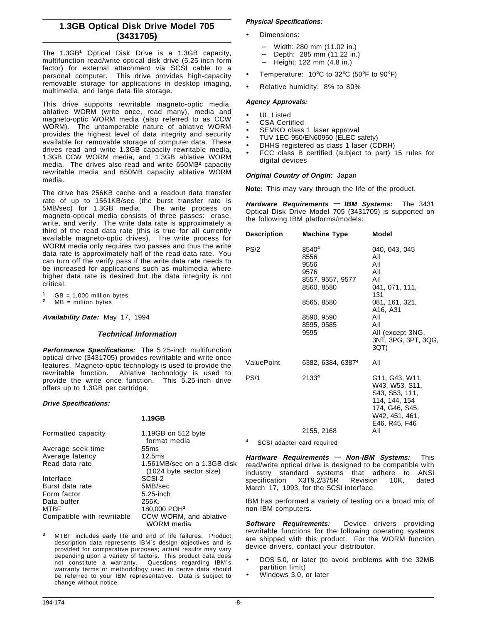## **1.3GB Optical Disk Drive Model 705 (3431705)**

The 1.3GB**<sup>1</sup>** Optical Disk Drive is a 1.3GB capacity, multifunction read/write optical disk drive (5.25-inch form factor) for external attachment via SCSI cable to a personal computer. This drive provides high-capacity removable storage for applications in desktop imaging, multimedia, and large data file storage.

This drive supports rewritable magneto-optic media, ablative WORM (write once, read many), media and magneto-optic WORM media (also referred to as CCW WORM). The untamperable nature of ablative WORM provides the highest level of data integrity and security available for removable storage of computer data. These drives read and write 1.3GB capacity rewritable media, 1.3GB CCW WORM media, and 1.3GB ablative WORM media. The drives also read and write 650MB**<sup>2</sup>** capacity rewritable media and 650MB capacity ablative WORM media.

The drive has 256KB cache and a readout data transfer rate of up to 1561KB/sec (the burst transfer rate is 5MB/sec) for 1.3GB media. The write process on magneto-optical media consists of three passes: erase, write, and verify. The write data rate is approximately a third of the read data rate (this is true for all currently available magneto-optic drives). The write process for WORM media only requires two passes and thus the write data rate is approximately half of the read data rate. You can turn off the verify pass if the write data rate needs to be increased for applications such as multimedia where higher data rate is desired but the data integrity is not critical.

**1** GB = 1,000 million bytes<br>**2** MB = million bytes

**Availability Date:** May 17, 1994

#### **Technical Information**

**Performance Specifications:** The 5.25-inch multifunction optical drive (3431705) provides rewritable and write once features. Magneto-optic technology is used to provide the rewritable function. Ablative technology is used to provide the write once function. This 5.25-inch drive offers up to 1.3GB per cartridge.

#### **Drive Specifications:**

#### **1.19GB**

| Formatted capacity         | 1.19GB on 512 byte          |
|----------------------------|-----------------------------|
|                            | format media                |
| Average seek time          | 55 <sub>ms</sub>            |
| Average latency            | 12.5 <sub>ms</sub>          |
| Read data rate             | 1.561MB/sec on a 1.3GB disk |
|                            | $(1024$ byte sector size)   |
| Interface                  | SCSI-2                      |
| Burst data rate            | 5MB/sec                     |
| Form factor                | $5.25$ -inch                |
| Data buffer                | 256K.                       |
| <b>MTBF</b>                | 180,000 POH <sup>3</sup>    |
| Compatible with rewritable | CCW WORM, and ablative      |
|                            | WORM media                  |

**<sup>3</sup>** MTBF includes early life and end of life failures. Product description data represents IBM′s design objectives and is provided for comparative purposes; actual results may vary depending upon a variety of factors. This product data does not constitute a warranty. Questions regarding IBM′s warranty terms or methodology used to derive data should be referred to your IBM representative. Data is subject to change without notice.

## **Physical Specifications:**

- Dimensions:
	- − Width: 280 mm (11.02 in.)
	- − Depth: 285 mm (11.22 in.)
	- − Height: 122 mm (4.8 in.)
- Temperature:  $10^{\circ}$ C to 32 $^{\circ}$ C (50 $^{\circ}$ F to 90 $^{\circ}$ F)
- Relative humidity: 8% to 80%

### **Agency Approvals:**

- UL Listed
- CSA Certified
- SEMKO class 1 laser approval
- TUV 1EC 950/EN60950 (ELEC safety)
- DHHS registered as class 1 laser (CDRH)
- FCC class B certified (subject to part) 15 rules for digital devices

#### **Original Country of Origin:** Japan

**Note:** This may vary through the life of the product.

**Hardware Requirements — IBM Systems:** The 3431 Optical Disk Drive Model 705 (3431705) is supported on the following IBM platforms/models:

| <b>Description</b> | Machine Type                                                                                                      | <b>Model</b>                                                                                                                                                           |
|--------------------|-------------------------------------------------------------------------------------------------------------------|------------------------------------------------------------------------------------------------------------------------------------------------------------------------|
| PS/2               | 85404<br>8556<br>9556<br>9576<br>8557, 9557, 9577<br>8560, 8580<br>8565, 8580<br>8590, 9590<br>8595, 9585<br>9595 | 040, 043, 045<br>All<br>All<br>All<br>All<br>041, 071, 111,<br>131<br>081, 161, 321,<br>A16, A31<br>All<br>All<br>All (except 3NG,                                     |
| ValuePoint         |                                                                                                                   | 3NT, 3PG, 3PT, 3QG,<br>3QT)                                                                                                                                            |
|                    | 6382, 6384, 63874                                                                                                 | All                                                                                                                                                                    |
| PS/1               | 21334                                                                                                             | G <sub>11</sub> , G <sub>43</sub> , W <sub>11</sub> ,<br>W43, W53, S11,<br>S43, S53, 111,<br>114, 144, 154<br>174, G46, S45,<br>W42, 451, 461,<br>E46, R45, F46<br>All |
|                    | 2155, 2168                                                                                                        |                                                                                                                                                                        |

**<sup>4</sup>** SCSI adapter card required

**Hardware Requirements — Non-IBM Systems:** This read/write optical drive is designed to be compatible with industry standard systems that adhere to ANSI<br>specification X3T9.2/375R Revision 10K, dated X3T9.2/375R Revision 10K, dated March 17, 1993, for the SCSI interface.

IBM has performed a variety of testing on a broad mix of non-IBM computers.

**Software Requirements:** Device drivers providing rewritable functions for the following operating systems are shipped with this product. For the WORM function device drivers, contact your distributor.

- DOS 5.0, or later (to avoid problems with the 32MB partition limit)
- Windows 3.0, or later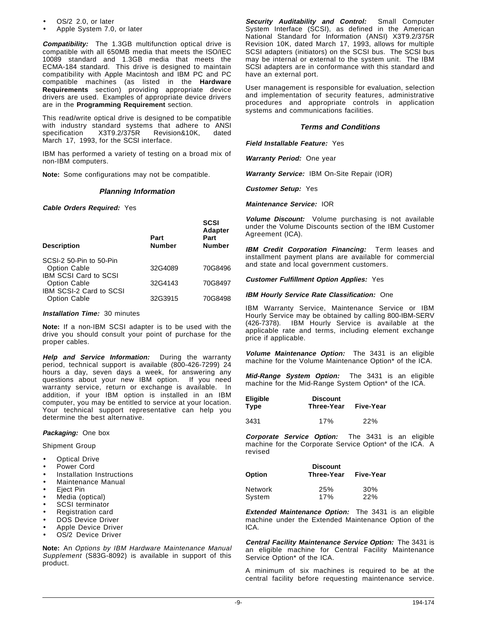- OS/2 2.0, or later
- Apple System 7.0, or later

**Compatibility:** The 1.3GB multifunction optical drive is compatible with all 650MB media that meets the ISO/IEC 10089 standard and 1.3GB media that meets the ECMA-184 standard. This drive is designed to maintain compatibility with Apple Macintosh and IBM PC and PC compatible machines (as listed in the **Hardware Requirements** section) providing appropriate device drivers are used. Examples of appropriate device drivers are in the **Programming Requirement** section.

This read/write optical drive is designed to be compatible with industry standard systems that adhere to ANSI specification X3T9.2/375R Revision&10K, dated March 17, 1993, for the SCSI interface.

IBM has performed a variety of testing on a broad mix of non-IBM computers.

**Note:** Some configurations may not be compatible.

#### **Planning Information**

**Cable Orders Required:** Yes

| <b>Description</b>                                                             | Part<br><b>Number</b> | <b>SCSI</b><br><b>Adapter</b><br>Part<br><b>Number</b> |
|--------------------------------------------------------------------------------|-----------------------|--------------------------------------------------------|
| SCSI-2 50-Pin to 50-Pin                                                        |                       |                                                        |
| <b>Option Cable</b>                                                            | 32G4089               | 70G8496                                                |
| <b>IBM SCSI Card to SCSI</b><br><b>Option Cable</b><br>IBM SCSI-2 Card to SCSI | 32G4143               | 70G8497                                                |
| <b>Option Cable</b>                                                            | 32G3915               | 70G8498                                                |

#### **Installation Time:** 30 minutes

**Note:** If a non-IBM SCSI adapter is to be used with the drive you should consult your point of purchase for the proper cables.

**Help and Service Information:** During the warranty period, technical support is available (800-426-7299) 24 hours a day, seven days a week, for answering any questions about your new IBM option. If you need warranty service, return or exchange is available. In addition, if your IBM option is installed in an IBM computer, you may be entitled to service at your location. Your technical support representative can help you determine the best alternative.

#### **Packaging:** One box

Shipment Group

- **Optical Drive**
- Power Cord
- Installation Instructions
- Maintenance Manual
- Eiect Pin
- Media (optical)
- SCSI terminator
- Registration card
- DOS Device Driver
- Apple Device Driver
- OS/2 Device Driver

**Note:** An Options by IBM Hardware Maintenance Manual Supplement (S83G-8092) is available in support of this product.

**Security Auditability and Control:** Small Computer System Interface (SCSI), as defined in the American National Standard for Information (ANSI) X3T9.2/375R Revision 10K, dated March 17, 1993, allows for multiple SCSI adapters (initiators) on the SCSI bus. The SCSI bus may be internal or external to the system unit. The IBM SCSI adapters are in conformance with this standard and have an external port.

User management is responsible for evaluation, selection and implementation of security features, administrative procedures and appropriate controls in application systems and communications facilities.

## **Terms and Conditions**

**Field Installable Feature:** Yes

**Warranty Period:** One year

**Warranty Service:** IBM On-Site Repair (IOR)

**Customer Setup:** Yes

**Maintenance Service:** IOR

**Volume Discount:** Volume purchasing is not available under the Volume Discounts section of the IBM Customer Agreement (ICA).

**IBM Credit Corporation Financing:** Term leases and installment payment plans are available for commercial and state and local government customers.

**Customer Fulfillment Option Applies:** Yes

#### **IBM Hourly Service Rate Classification:** One

IBM Warranty Service, Maintenance Service or IBM Hourly Service may be obtained by calling 800-IBM-SERV (426-7378). IBM Hourly Service is available at the applicable rate and terms, including element exchange price if applicable.

**Volume Maintenance Option:** The 3431 is an eligible machine for the Volume Maintenance Option\* of the ICA.

**Mid-Range System Option:** The 3431 is an eligible machine for the Mid-Range System Option\* of the ICA.

| <b>Eligible</b> | <b>Discount</b> |           |
|-----------------|-----------------|-----------|
| Type            | Three-Year      | Five-Year |

3431 17% 22%

**Corporate Service Option:** The 3431 is an eligible machine for the Corporate Service Option\* of the ICA. A revised

| Option  | <b>Discount</b><br>Three-Year | Five-Year  |
|---------|-------------------------------|------------|
| Network | 25%                           | 30%        |
| System  | 17%                           | <b>22%</b> |

**Extended Maintenance Option:** The 3431 is an eligible machine under the Extended Maintenance Option of the ICA.

**Central Facility Maintenance Service Option:** The 3431 is an eligible machine for Central Facility Maintenance Service Option\* of the ICA.

A minimum of six machines is required to be at the central facility before requesting maintenance service.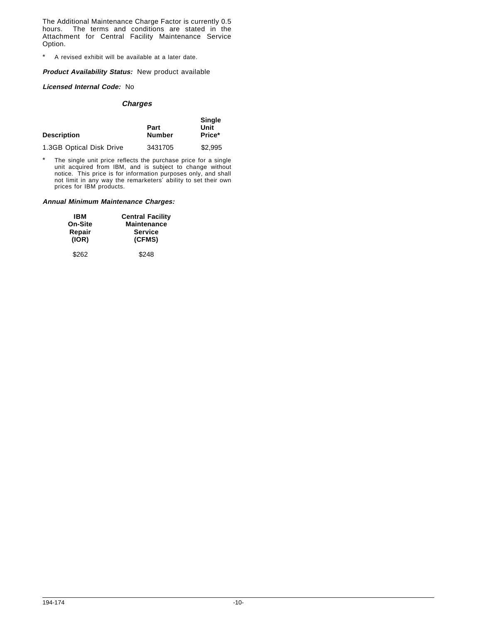The Additional Maintenance Charge Factor is currently 0.5 hours. The terms and conditions are stated in the Attachment for Central Facility Maintenance Service Option.

\* A revised exhibit will be available at a later date.

#### **Product Availability Status:** New product available

## **Licensed Internal Code:** No

## **Charges**

| <b>Description</b>       | Part<br><b>Number</b> | <b>Single</b><br>Unit<br>Price* |
|--------------------------|-----------------------|---------------------------------|
| 1.3GB Optical Disk Drive | 3431705               | \$2,995                         |

\* The single unit price reflects the purchase price for a single unit acquired from IBM, and is subject to change without notice. This price is for information purposes only, and shall not limit in any way the remarketers′ ability to set their own prices for IBM products.

| IBM     | <b>Central Facility</b> |
|---------|-------------------------|
| On-Site | <b>Maintenance</b>      |
| Repair  | <b>Service</b>          |
| (IOR)   | (CFMS)                  |
| \$262   | \$248                   |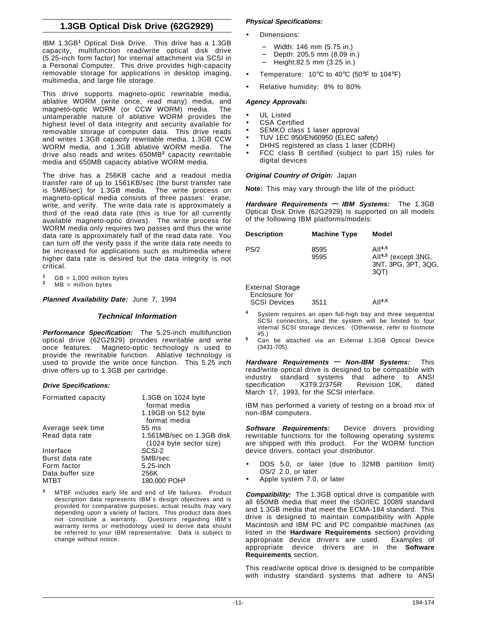# **1.3GB Optical Disk Drive (62G2929)**

IBM 1.3GB**<sup>1</sup>** Optical Disk Drive. This drive has a 1.3GB capacity, multifunction read/write optical disk drive (5.25-inch form factor) for internal attachment via SCSI in a Personal Computer. This drive provides high-capacity removable storage for applications in desktop imaging, multimedia, and large file storage.

This drive supports magneto-optic rewritable media, ablative WORM (write once, read many) media, and magneto-optic WORM (or CCW WORM) media. The untamperable nature of ablative WORM provides the highest level of data integrity and security available for removable storage of computer data. This drive reads and writes 1.3GB capacity rewritable media, 1.3GB CCW WORM media, and 1.3GB ablative WORM media. The drive also reads and writes 650MB**<sup>2</sup>** capacity rewritable media and 650MB capacity ablative WORM media.

The drive has a 256KB cache and a readout media transfer rate of up to 1561KB/sec (the burst transfer rate is 5MB/sec) for 1.3GB media. The write process on magneto-optical media consists of three passes: erase, write, and verify. The write data rate is approximately a third of the read data rate (this is true for all currently available magneto-optic drives). The write process for WORM media only requires two passes and thus the write data rate is approximately half of the read data rate. You can turn off the verify pass if the write data rate needs to be increased for applications such as multimedia where higher data rate is desired but the data integrity is not critical.

**1** GB = 1,000 million bytes<br>**2** MB = million bytes

**Planned Availability Date:** June 7, 1994

## **Technical Information**

**Performance Specification:** The 5.25-inch multifunction optical drive (62G2929) provides rewritable and write once features. Magneto-optic technology is used to provide the rewritable function. Ablative technology is used to provide the write once function. This 5.25 inch drive offers up to 1.3GB per cartridge.

#### **Drive Specifications:**

| Formatted capacity | 1.3GB on 1024 byte<br>format media |
|--------------------|------------------------------------|
|                    | 1.19GB on 512 byte                 |
|                    | format media                       |
| Average seek time  | 55 ms                              |
| Read data rate     | 1.561MB/sec on 1.3GB disk          |
|                    | (1024 byte sector size)            |
| Interface          | SCSI-2                             |
| Burst data rate    | 5MB/sec                            |
| Form factor        | $5.25$ -inch                       |
| Data buffer size   | 256K                               |
| MTBT               | 180,000 POH3                       |

**<sup>3</sup>** MTBF includes early life and end of life failures. Product description data represents IBM′s design objectives and is provided for comparative purposes; actual results may vary depending upon a variety of factors. This product data does<br>not constitute a warranty. Questions regarding IBM's Questions regarding IBM's warranty terms or methodology used to derive data should be referred to your IBM representative. Data is subject to change without notice.

## **Physical Specifications:**

- Dimensions:
	- − Width: 146 mm (5.75 in.)
	- − Depth: 205.5 mm (8.09 in.)
	- − Height:82.5 mm (3.25 in.)
- Temperature:  $10^{\circ}$ C to  $40^{\circ}$ C (50°F to  $104^{\circ}$ F)
- Relative humidity: 8% to 80%

## **Agency Approvals:**

- UL Listed
- CSA Certified
- SEMKO class 1 laser approval
- TUV 1EC 950/EN60950 (ELEC safety)
- DHHS registered as class 1 laser (CDRH)
- FCC class B certified (subject to part 15) rules for digital devices

## **Original Country of Origin:** Japan

**Note:** This may vary through the life of the product.

**Hardware Requirements — IBM Systems:** The 1.3GB Optical Disk Drive (62G2929) is supported on all models of the following IBM platforms/models:

| <b>Description</b>      | <b>Machine Type</b> | Model                                                                         |
|-------------------------|---------------------|-------------------------------------------------------------------------------|
| PS/2                    | 8595<br>9595        | $A11^{4,5}$<br>All <sup>4,5</sup> (except 3NG,<br>3NT, 3PG, 3PT, 3QG,<br>3QT) |
| <b>External Storage</b> |                     |                                                                               |

| Enclosure for       |      |             |
|---------------------|------|-------------|
| <b>SCSI Devices</b> | 3511 | $A  ^{4,5}$ |

- **<sup>4</sup>** System requires an open full-high bay and three sequential SCSI connectors, and the system will be limited to four internal SCSI storage devices. (Otherwise, refer to footnote
- #5.) **<sup>5</sup>** Can be attached via an External 1.3GB Optical Device (3431-705).

**Hardware Requirements — Non-IBM Systems:** This read/write optical drive is designed to be compatible with industry standard systems that adhere to ANSI<br>specification X3T9.2/375R Revision 10K, dated Revision 10K, dated March 17, 1993, for the SCSI interface.

IBM has performed a variety of testing on a broad mix of non-IBM computers.

**Software Requirements:** Device drivers providing rewritable functions for the following operating systems are shipped with this product. For the WORM function device drivers, contact your distributor.

- DOS 5.0, or later (due to 32MB partition limit) OS/2 2.0, or later
- Apple system 7.0, or later

**Compatibility:** The 1.3GB optical drive is compatible with all 650MB media that meet the ISO/IEC 10089 standard and 1.3GB media that meet the ECMA-184 standard. This drive is designed to maintain compatibility with Apple Macintosh and IBM PC and PC compatible machines (as listed in the **Hardware Requirements** section) providing appropriate device drivers are used. Examples of appropriate device drivers are in the **Software Requirements** section.

This read/write optical drive is designed to be compatible with industry standard systems that adhere to ANSI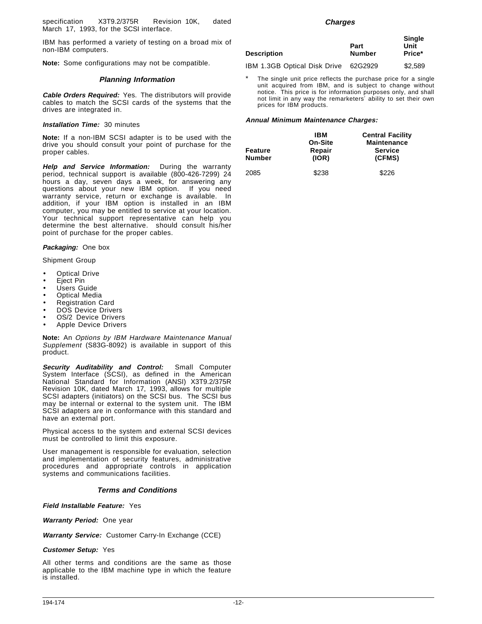specification X3T9.2/375R Revision 10K, dated March 17, 1993, for the SCSI interface.

IBM has performed a variety of testing on a broad mix of non-IBM computers.

**Note:** Some configurations may not be compatible.

### **Planning Information**

**Cable Orders Required:** Yes. The distributors will provide cables to match the SCSI cards of the systems that the drives are integrated in.

#### **Installation Time:** 30 minutes

**Note:** If a non-IBM SCSI adapter is to be used with the drive you should consult your point of purchase for the proper cables.

**Help and Service Information:** During the warranty period, technical support is available (800-426-7299) 24 hours a day, seven days a week, for answering any questions about your new IBM option. If you need warranty service, return or exchange is available. In addition, if your IBM option is installed in an IBM computer, you may be entitled to service at your location. Your technical support representative can help you determine the best alternative. should consult his/her point of purchase for the proper cables.

**Packaging:** One box

Shipment Group

- Optical Drive
- **Eject Pin**
- Users Guide
- **Optical Media**
- Registration Card
- DOS Device Drivers
- OS/2 Device Drivers
- Apple Device Drivers

**Note:** An Options by IBM Hardware Maintenance Manual Supplement (S83G-8092) is available in support of this product.

**Security Auditability and Control:** Small Computer System Interface (SCSI), as defined in the American National Standard for Information (ANSI) X3T9.2/375R Revision 10K, dated March 17, 1993, allows for multiple SCSI adapters (initiators) on the SCSI bus. The SCSI bus may be internal or external to the system unit. The IBM SCSI adapters are in conformance with this standard and have an external port.

Physical access to the system and external SCSI devices must be controlled to limit this exposure.

User management is responsible for evaluation, selection and implementation of security features, administrative procedures and appropriate controls in application systems and communications facilities.

## **Terms and Conditions**

**Field Installable Feature:** Yes

**Warranty Period:** One year

**Warranty Service:** Customer Carry-In Exchange (CCE)

#### **Customer Setup:** Yes

All other terms and conditions are the same as those applicable to the IBM machine type in which the feature is installed.

#### **Charges**

| Description                  | Part<br><b>Number</b> | <b>Single</b><br>Unit<br>Price* |
|------------------------------|-----------------------|---------------------------------|
| IBM 1.3GB Optical Disk Drive | 62G2929               | \$2.589                         |

The single unit price reflects the purchase price for a single unit acquired from IBM, and is subject to change without notice. This price is for information purposes only, and shall not limit in any way the remarketers′ ability to set their own prices for IBM products.

| Feature<br><b>Number</b> | IBM<br>On-Site<br>Repair<br>(IOR) | <b>Central Facility</b><br><b>Maintenance</b><br><b>Service</b><br>(CFMS) |
|--------------------------|-----------------------------------|---------------------------------------------------------------------------|
| 2085                     | \$238                             | \$226                                                                     |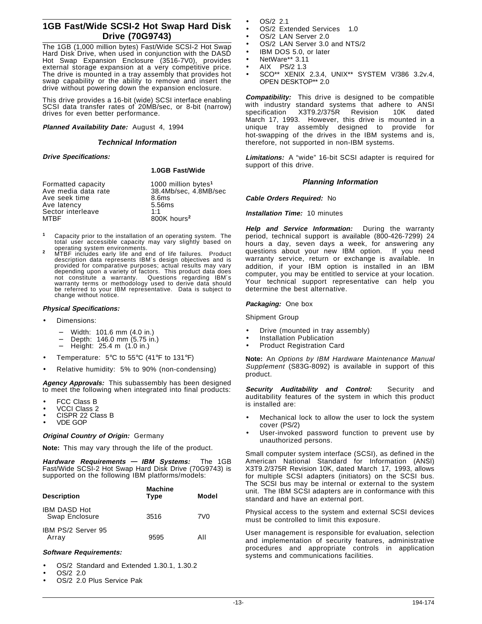## **1GB Fast/Wide SCSI-2 Hot Swap Hard Disk Drive (70G9743)**

The 1GB (1,000 million bytes) Fast/Wide SCSI-2 Hot Swap Hard Disk Drive, when used in conjunction with the DASD Hot Swap Expansion Enclosure (3516-7V0), provides external storage expansion at a very competitive price. The drive is mounted in a tray assembly that provides hot swap capability or the ability to remove and insert the drive without powering down the expansion enclosure.

This drive provides a 16-bit (wide) SCSI interface enabling SCSI data transfer rates of 20MB/sec, or 8-bit (narrow) drives for even better performance.

## **Planned Availability Date:** August 4, 1994

#### **Technical Information**

#### **Drive Specifications:**

#### **1.0GB Fast/Wide**

| Formatted capacity<br>Ave media data rate | 1000 million bytes <sup>1</sup><br>38.4Mb/sec. 4.8MB/sec |
|-------------------------------------------|----------------------------------------------------------|
| Ave seek time                             | 8.6ms                                                    |
| Ave latency                               | 5.56ms                                                   |
| Sector interleave                         | 1:1                                                      |
| <b>MTBF</b>                               | 800K hours <sup>2</sup>                                  |

- **<sup>1</sup>** Capacity prior to the installation of an operating system. The total user accessible capacity may vary slightly based on operating system environments.
- operating system environments. **<sup>2</sup>** MTBF includes early life and end of life failures. Product description data represents IBM′s design objectives and is provided for comparative purposes; actual results may vary depending upon a variety of factors. This product data does<br>not constitute a warranty. Questions regarding IBM's not constitute a warranty. Questions regarding IBM′<sup>s</sup> warranty terms or methodology used to derive data should be referred to your IBM representative. Data is subject to change without notice.

## **Physical Specifications:**

- Dimensions:
	- − Width: 101.6 mm (4.0 in.)
	- Depth: 146.0 mm (5.75 in.)
	- − Height: 25.4 m (1.0 in.)
- Temperature: 5°C to 55°C (41°F to 131°F)
- Relative humidity: 5% to 90% (non-condensing)

**Agency Approvals:** This subassembly has been designed to meet the following when integrated into final products:

- **FCC Class B**
- VCCI Class 2
- CISPR 22 Class B
- VDE GOP

## **Original Country of Origin:** Germany

**Note:** This may vary through the life of the product.

**Hardware Requirements — IBM Systems:** The 1GB Fast/Wide SCSI-2 Hot Swap Hard Disk Drive (70G9743) is supported on the following IBM platforms/models:

| <b>Description</b>                    | <b>Machine</b><br><b>Type</b> | Model           |
|---------------------------------------|-------------------------------|-----------------|
| <b>IBM DASD Hot</b><br>Swap Enclosure | 3516                          | 7V <sub>0</sub> |
| IBM PS/2 Server 95<br>Array           | 9595                          | All             |

## **Software Requirements:**

- OS/2 Standard and Extended 1.30.1, 1.30.2
- OS/2 2.0
- OS/2 2.0 Plus Service Pak
- OS/2 2.1
- OS/2 Extended Services™ 1.0
- OS/2 LAN Server 2.0
- OS/2 LAN Server 3.0 and NTS/2
- IBM DOS 5.0, or later
- NetWare\*\* 3.11
- $\bullet$  AIX<sup>®</sup> PS/2 1.3
- SCO\*\* XENIX 2.3.4, UNIX\*\* SYSTEM V/386 3.2v.4, OPEN DESKTOP\*\* 2.0

**Compatibility:** This drive is designed to be compatible with industry standard systems that adhere to ANSI specification X3T9.2/375R Revision 10K dated March 17, 1993. However, this drive is mounted in a unique tray assembly designed to provide for hot-swapping of the drives in the IBM systems and is, therefore, not supported in non-IBM systems.

**Limitations:** A "wide" 16-bit SCSI adapter is required for support of this drive.

## **Planning Information**

**Cable Orders Required:** No

#### **Installation Time:** 10 minutes

**Help and Service Information:** During the warranty period, technical support is available (800-426-7299) 24 hours a day, seven days a week, for answering any questions about your new IBM option. If you need warranty service, return or exchange is available. In addition, if your IBM option is installed in an IBM computer, you may be entitled to service at your location. Your technical support representative can help you determine the best alternative.

## **Packaging:** One box

Shipment Group

- Drive (mounted in tray assembly)
- Installation Publication
- Product Registration Card

**Note:** An Options by IBM Hardware Maintenance Manual Supplement (S83G-8092) is available in support of this product.

**Security Auditability and Control:** Security and auditability features of the system in which this product is installed are:

- Mechanical lock to allow the user to lock the system cover (PS/2)
- User-invoked password function to prevent use by unauthorized persons.

Small computer system interface (SCSI), as defined in the American National Standard for Information (ANSI) X3T9.2/375R Revision 10K, dated March 17, 1993, allows for multiple SCSI adapters (initiators) on the SCSI bus. The SCSI bus may be internal or external to the system unit. The IBM SCSI adapters are in conformance with this standard and have an external port.

Physical access to the system and external SCSI devices must be controlled to limit this exposure.

User management is responsible for evaluation, selection and implementation of security features, administrative procedures and appropriate controls in application systems and communications facilities.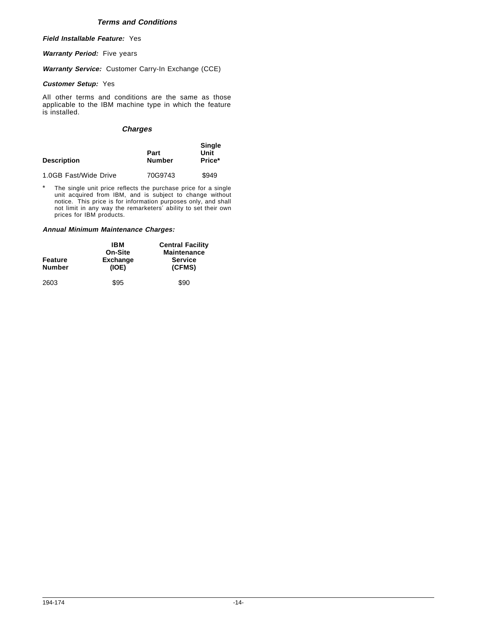## **Terms and Conditions**

**Field Installable Feature:** Yes

**Warranty Period:** Five years

**Warranty Service:** Customer Carry-In Exchange (CCE)

## **Customer Setup:** Yes

All other terms and conditions are the same as those applicable to the IBM machine type in which the feature is installed.

## **Charges**

| <b>Description</b>    | Part<br><b>Number</b> | <b>Single</b><br>Unit<br>Price* |
|-----------------------|-----------------------|---------------------------------|
| 1.0GB Fast/Wide Drive | 70G9743               | \$949                           |

The single unit price reflects the purchase price for a single unit acquired from IBM, and is subject to change without notice. This price is for information purposes only, and shall not limit in any way the remarketers′ ability to set their own prices for IBM products.

| Feature<br><b>Number</b> | IBM<br>On-Site<br><b>Exchange</b><br>(IOE) | <b>Central Facility</b><br><b>Maintenance</b><br><b>Service</b><br>(CFMS) |
|--------------------------|--------------------------------------------|---------------------------------------------------------------------------|
| 2603                     | \$95                                       | \$90                                                                      |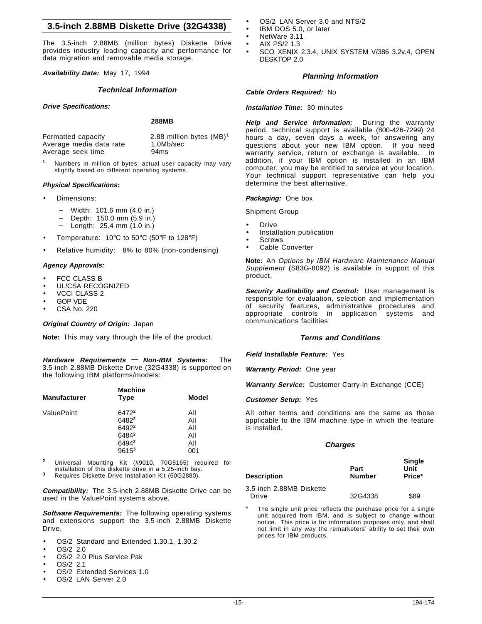## **3.5-inch 2.88MB Diskette Drive (32G4338)**

The 3.5-inch 2.88MB (million bytes) Diskette Drive provides industry leading capacity and performance for data migration and removable media storage.

**Availability Date:** May 17, 1994

#### **Technical Information**

#### **Drive Specifications:**

## **288MB**

| Formatted capacity      | 2.88 million bytes (MB) <sup>1</sup> |
|-------------------------|--------------------------------------|
| Average media data rate | 1.0Mb/sec                            |
| Average seek time       | 94ms                                 |

**<sup>1</sup>** Numbers in million of bytes; actual user capacity may vary slightly based on different operating systems.

#### **Physical Specifications:**

- Dimensions:
	- − Width: 101.6 mm (4.0 in.)
	- − Depth: 150.0 mm (5.9 in.)
	- − Length: 25.4 mm (1.0 in.)
- Temperature: 10°C to 50°C (50°F to 128°F)
- Relative humidity: 8% to 80% (non-condensing)

#### **Agency Approvals:**

- **FCC CLASS B**
- UL/CSA RECOGNIZED
- VCCI CLASS 2
- GOP VDE
- CSA No. 220

#### **Original Country of Origin:** Japan

**Note:** This may vary through the life of the product.

**Hardware Requirements — Non-IBM Systems:** The 3.5-inch 2.88MB Diskette Drive (32G4338) is supported on the following IBM platforms/models:

| <b>Manufacturer</b> | <b>Machine</b><br><b>Type</b> | Model      |
|---------------------|-------------------------------|------------|
| ValuePoint          | 6472 <sup>2</sup><br>64822    | All<br>All |
|                     | 64922                         | All        |
|                     | 64842<br>64942                | All<br>All |
|                     | $9615^3$                      | 001        |

**<sup>2</sup>** Universal Mounting Kit (#9010, 70G8165) required for installation of this diskette drive in a 5.25-inch bay. **<sup>3</sup>** Requires Diskette Drive Installation Kit (60G2880).

**Compatibility:** The 3.5-inch 2.88MB Diskette Drive can be used in the ValuePoint systems above.

**Software Requirements:** The following operating systems and extensions support the 3.5-inch 2.88MB Diskette Drive.

- OS/2 Standard and Extended 1.30.1, 1.30.2
- OS/2 2.0 • OS/2 2.0 Plus Service Pak
- OS/2 2.1
- 
- OS/2 Extended Services 1.0
- OS/2 LAN Server 2.0
- OS/2 LAN Server 3.0 and NTS/2
- IBM DOS 5.0, or later
- NetWare 3.11
- AIX PS/2 1.3
- SCO XENIX 2.3.4, UNIX SYSTEM V/386 3.2v.4, OPEN DESKTOP 2.0

#### **Planning Information**

**Cable Orders Required:** No

#### **Installation Time:** 30 minutes

**Help and Service Information:** During the warranty period, technical support is available (800-426-7299) 24 hours a day, seven days a week, for answering any questions about your new IBM option. If you need warranty service, return or exchange is available. In addition, if your IBM option is installed in an IBM computer, you may be entitled to service at your location. Your technical support representative can help you determine the best alternative.

#### **Packaging:** One box

- Shipment Group
- **Drive**
- Installation publication
- **Screws**
- Cable Converter

**Note:** An Options by IBM Hardware Maintenance Manual Supplement (S83G-8092) is available in support of this product.

**Security Auditability and Control:** User management is responsible for evaluation, selection and implementation of security features, administrative procedures and appropriate controls in application systems and communications facilities

## **Terms and Conditions**

**Field Installable Feature:** Yes

**Warranty Period:** One year

**Warranty Service:** Customer Carry-In Exchange (CCE)

**Customer Setup:** Yes

All other terms and conditions are the same as those applicable to the IBM machine type in which the feature is installed.

#### **Charges**

| Description              | Part<br><b>Number</b> | <b>Single</b><br>Unit<br>Price* |
|--------------------------|-----------------------|---------------------------------|
| 3.5-inch 2.88MB Diskette |                       |                                 |
| Drive                    | 32G4338               | \$89                            |

The single unit price reflects the purchase price for a single unit acquired from IBM, and is subject to change without notice. This price is for information purposes only, and shall not limit in any way the remarketers′ ability to set their own prices for IBM products.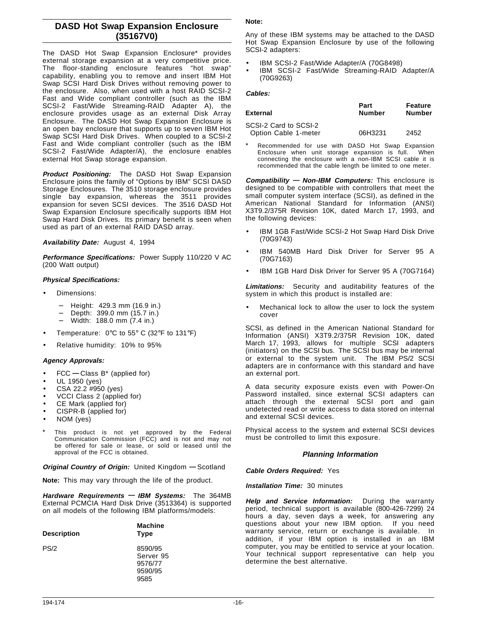# **DASD Hot Swap Expansion Enclosure (35167V0)**

The DASD Hot Swap Expansion Enclosure\* provides external storage expansion at a very competitive price. The floor-standing enclosure features "hot swap" capability, enabling you to remove and insert IBM Hot Swap SCSI Hard Disk Drives without removing power to the enclosure. Also, when used with a host RAID SCSI-2 Fast and Wide compliant controller (such as the IBM SCSI-2 Fast/Wide Streaming-RAID Adapter A), the enclosure provides usage as an external Disk Array Enclosure. The DASD Hot Swap Expansion Enclosure is an open bay enclosure that supports up to seven IBM Hot Swap SCSI Hard Disk Drives. When coupled to a SCSI-2 Fast and Wide compliant controller (such as the IBM SCSI-2 Fast/Wide Adapter/A), the enclosure enables external Hot Swap storage expansion.

**Product Positioning:** The DASD Hot Swap Expansion Enclosure joins the family of "Options by IBM" SCSI DASD Storage Enclosures. The 3510 storage enclosure provides single bay expansion, whereas the 3511 provides expansion for seven SCSI devices. The 3516 DASD Hot Swap Expansion Enclosure specifically supports IBM Hot Swap Hard Disk Drives. Its primary benefit is seen when used as part of an external RAID DASD array.

**Availability Date:** August 4, 1994

**Performance Specifications:** Power Supply 110/220 V AC (200 Watt output)

## **Physical Specifications:**

- Dimensions:
	- − Height: 429.3 mm (16.9 in.)
	- − Depth: 399.0 mm (15.7 in.)
	- − Width: 188.0 mm (7.4 in.)
- Temperature:  $0^{\circ}$ C to 55° C (32°F to 131°F)
- Relative humidity: 10% to 95%

## **Agency Approvals:**

- FCC **—** Class B\* (applied for)
- UL 1950 (yes)
- CSA 22.2 #950 (yes)
- VCCI Class 2 (applied for)
- CE Mark (applied for)
- CISPR-B (applied for)
- NOM (yes)
- This product is not yet approved by the Federal Communication Commission (FCC) and is not and may not be offered for sale or lease, or sold or leased until the approval of the FCC is obtained.

**Original Country of Origin:** United Kingdom **—** Scotland

**Note:** This may vary through the life of the product.

**Hardware Requirements — IBM Systems:** The 364MB External PCMCIA Hard Disk Drive (3513364) is supported on all models of the following IBM platforms/models:

| <b>Description</b> | <b>Machine</b><br><b>Type</b>                      |
|--------------------|----------------------------------------------------|
| PS/2               | 8590/95<br>Server 95<br>9576/77<br>9590/95<br>9585 |

## **Note:**

Any of these IBM systems may be attached to the DASD Hot Swap Expansion Enclosure by use of the following SCSI-2 adapters:

- IBM SCSI-2 Fast/Wide Adapter/A (70G8498)
- IBM SCSI-2 Fast/Wide Streaming-RAID Adapter/A (70G9263)

### **Cables:**

| External                                      | Part<br><b>Number</b> | Feature<br><b>Number</b> |
|-----------------------------------------------|-----------------------|--------------------------|
| SCSI-2 Card to SCSI-2<br>Option Cable 1-meter | 06H3231               | 2452                     |

Recommended for use with DASD Hot Swap Expansion Enclosure when unit storage expansion is full. When connecting the enclosure with a non-IBM SCSI cable it is recommended that the cable length be limited to one meter.

**Compatibility — Non-IBM Computers:** This enclosure is designed to be compatible with controllers that meet the small computer system interface (SCSI), as defined in the American National Standard for Information (ANSI) X3T9.2/375R Revision 10K, dated March 17, 1993, and the following devices:

- IBM 1GB Fast/Wide SCSI-2 Hot Swap Hard Disk Drive (70G9743)
- IBM 540MB Hard Disk Driver for Server 95 A (70G7163)
- IBM 1GB Hard Disk Driver for Server 95 A (70G7164)

**Limitations:** Security and auditability features of the system in which this product is installed are:

• Mechanical lock to allow the user to lock the system cover

SCSI, as defined in the American National Standard for Information (ANSI) X3T9.2/375R Revision 10K, dated March 17, 1993, allows for multiple SCSI adapters (initiators) on the SCSI bus. The SCSI bus may be internal or external to the system unit. The IBM PS/2 SCSI adapters are in conformance with this standard and have an external port.

A data security exposure exists even with Power-On Password installed, since external SCSI adapters can attach through the external SCSI port and gain undetected read or write access to data stored on internal and external SCSI devices.

Physical access to the system and external SCSI devices must be controlled to limit this exposure.

## **Planning Information**

**Cable Orders Required:** Yes

**Installation Time:** 30 minutes

**Help and Service Information:** During the warranty period, technical support is available (800-426-7299) 24 hours a day, seven days a week, for answering any questions about your new IBM option. If you need warranty service, return or exchange is available. In addition, if your IBM option is installed in an IBM computer, you may be entitled to service at your location. Your technical support representative can help you determine the best alternative.